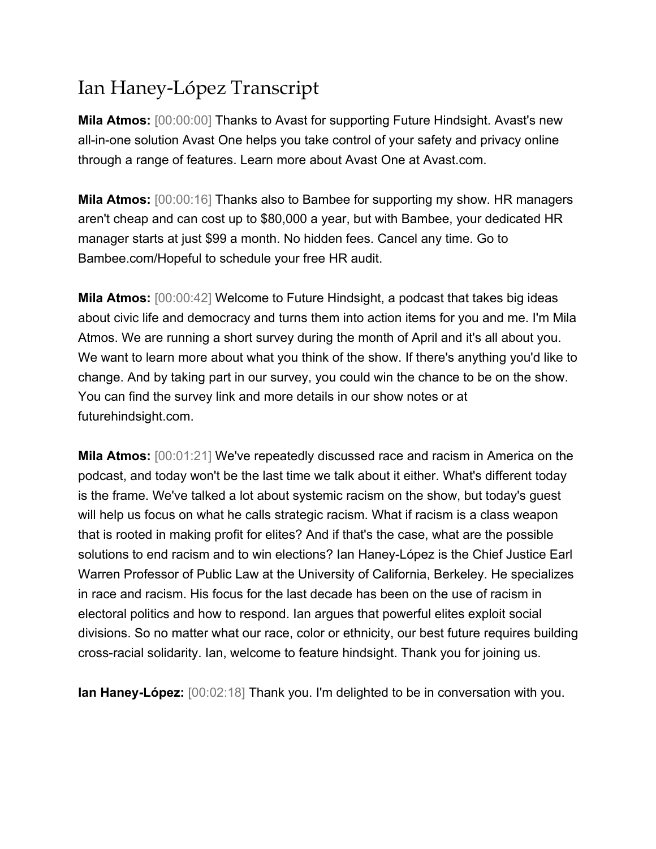## Ian Haney-López Transcript

**Mila Atmos:** [00:00:00] Thanks to Avast for supporting Future Hindsight. Avast's new all-in-one solution Avast One helps you take control of your safety and privacy online through a range of features. Learn more about Avast One at Avast.com.

**Mila Atmos:** [00:00:16] Thanks also to Bambee for supporting my show. HR managers aren't cheap and can cost up to \$80,000 a year, but with Bambee, your dedicated HR manager starts at just \$99 a month. No hidden fees. Cancel any time. Go to Bambee.com/Hopeful to schedule your free HR audit.

**Mila Atmos:** [00:00:42] Welcome to Future Hindsight, a podcast that takes big ideas about civic life and democracy and turns them into action items for you and me. I'm Mila Atmos. We are running a short survey during the month of April and it's all about you. We want to learn more about what you think of the show. If there's anything you'd like to change. And by taking part in our survey, you could win the chance to be on the show. You can find the survey link and more details in our show notes or at futurehindsight.com.

**Mila Atmos:** [00:01:21] We've repeatedly discussed race and racism in America on the podcast, and today won't be the last time we talk about it either. What's different today is the frame. We've talked a lot about systemic racism on the show, but today's guest will help us focus on what he calls strategic racism. What if racism is a class weapon that is rooted in making profit for elites? And if that's the case, what are the possible solutions to end racism and to win elections? Ian Haney-López is the Chief Justice Earl Warren Professor of Public Law at the University of California, Berkeley. He specializes in race and racism. His focus for the last decade has been on the use of racism in electoral politics and how to respond. Ian argues that powerful elites exploit social divisions. So no matter what our race, color or ethnicity, our best future requires building cross-racial solidarity. Ian, welcome to feature hindsight. Thank you for joining us.

**Ian Haney-López:** [00:02:18] Thank you. I'm delighted to be in conversation with you.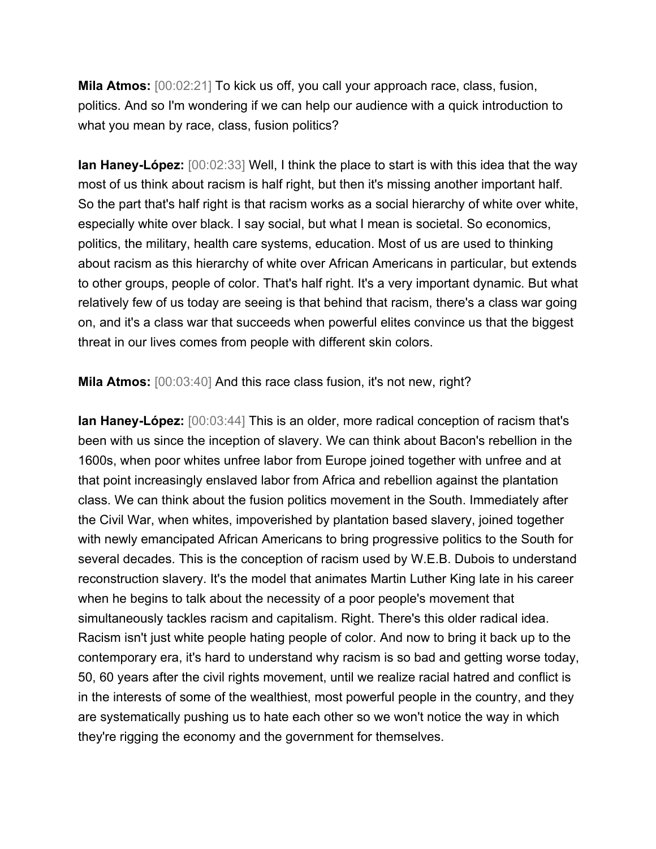**Mila Atmos:** [00:02:21] To kick us off, you call your approach race, class, fusion, politics. And so I'm wondering if we can help our audience with a quick introduction to what you mean by race, class, fusion politics?

**Ian Haney-López:** [00:02:33] Well, I think the place to start is with this idea that the way most of us think about racism is half right, but then it's missing another important half. So the part that's half right is that racism works as a social hierarchy of white over white, especially white over black. I say social, but what I mean is societal. So economics, politics, the military, health care systems, education. Most of us are used to thinking about racism as this hierarchy of white over African Americans in particular, but extends to other groups, people of color. That's half right. It's a very important dynamic. But what relatively few of us today are seeing is that behind that racism, there's a class war going on, and it's a class war that succeeds when powerful elites convince us that the biggest threat in our lives comes from people with different skin colors.

**Mila Atmos:** [00:03:40] And this race class fusion, it's not new, right?

**Ian Haney-López:** [00:03:44] This is an older, more radical conception of racism that's been with us since the inception of slavery. We can think about Bacon's rebellion in the 1600s, when poor whites unfree labor from Europe joined together with unfree and at that point increasingly enslaved labor from Africa and rebellion against the plantation class. We can think about the fusion politics movement in the South. Immediately after the Civil War, when whites, impoverished by plantation based slavery, joined together with newly emancipated African Americans to bring progressive politics to the South for several decades. This is the conception of racism used by W.E.B. Dubois to understand reconstruction slavery. It's the model that animates Martin Luther King late in his career when he begins to talk about the necessity of a poor people's movement that simultaneously tackles racism and capitalism. Right. There's this older radical idea. Racism isn't just white people hating people of color. And now to bring it back up to the contemporary era, it's hard to understand why racism is so bad and getting worse today, 50, 60 years after the civil rights movement, until we realize racial hatred and conflict is in the interests of some of the wealthiest, most powerful people in the country, and they are systematically pushing us to hate each other so we won't notice the way in which they're rigging the economy and the government for themselves.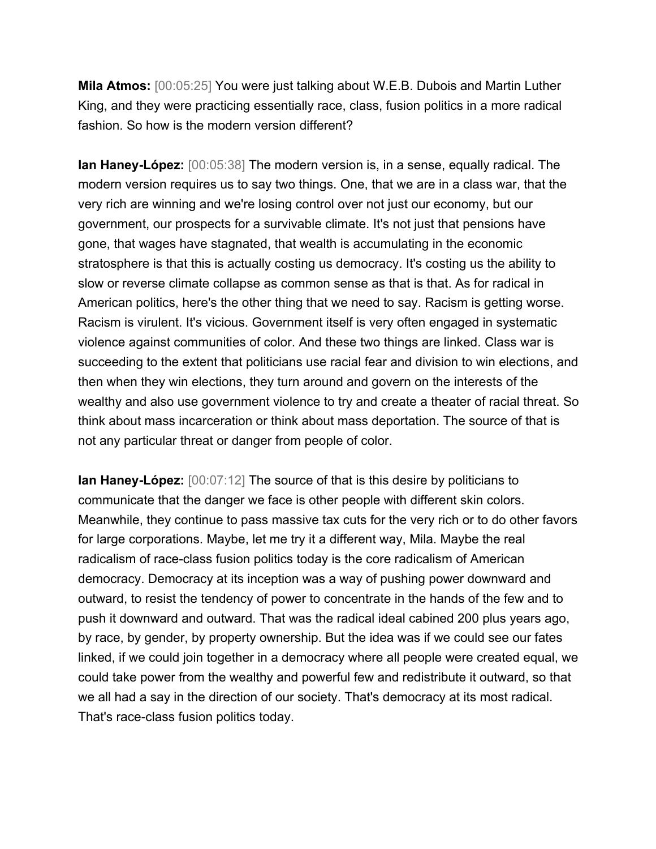**Mila Atmos:** [00:05:25] You were just talking about W.E.B. Dubois and Martin Luther King, and they were practicing essentially race, class, fusion politics in a more radical fashion. So how is the modern version different?

**Ian Haney-López:** [00:05:38] The modern version is, in a sense, equally radical. The modern version requires us to say two things. One, that we are in a class war, that the very rich are winning and we're losing control over not just our economy, but our government, our prospects for a survivable climate. It's not just that pensions have gone, that wages have stagnated, that wealth is accumulating in the economic stratosphere is that this is actually costing us democracy. It's costing us the ability to slow or reverse climate collapse as common sense as that is that. As for radical in American politics, here's the other thing that we need to say. Racism is getting worse. Racism is virulent. It's vicious. Government itself is very often engaged in systematic violence against communities of color. And these two things are linked. Class war is succeeding to the extent that politicians use racial fear and division to win elections, and then when they win elections, they turn around and govern on the interests of the wealthy and also use government violence to try and create a theater of racial threat. So think about mass incarceration or think about mass deportation. The source of that is not any particular threat or danger from people of color.

**Ian Haney-López:** [00:07:12] The source of that is this desire by politicians to communicate that the danger we face is other people with different skin colors. Meanwhile, they continue to pass massive tax cuts for the very rich or to do other favors for large corporations. Maybe, let me try it a different way, Mila. Maybe the real radicalism of race-class fusion politics today is the core radicalism of American democracy. Democracy at its inception was a way of pushing power downward and outward, to resist the tendency of power to concentrate in the hands of the few and to push it downward and outward. That was the radical ideal cabined 200 plus years ago, by race, by gender, by property ownership. But the idea was if we could see our fates linked, if we could join together in a democracy where all people were created equal, we could take power from the wealthy and powerful few and redistribute it outward, so that we all had a say in the direction of our society. That's democracy at its most radical. That's race-class fusion politics today.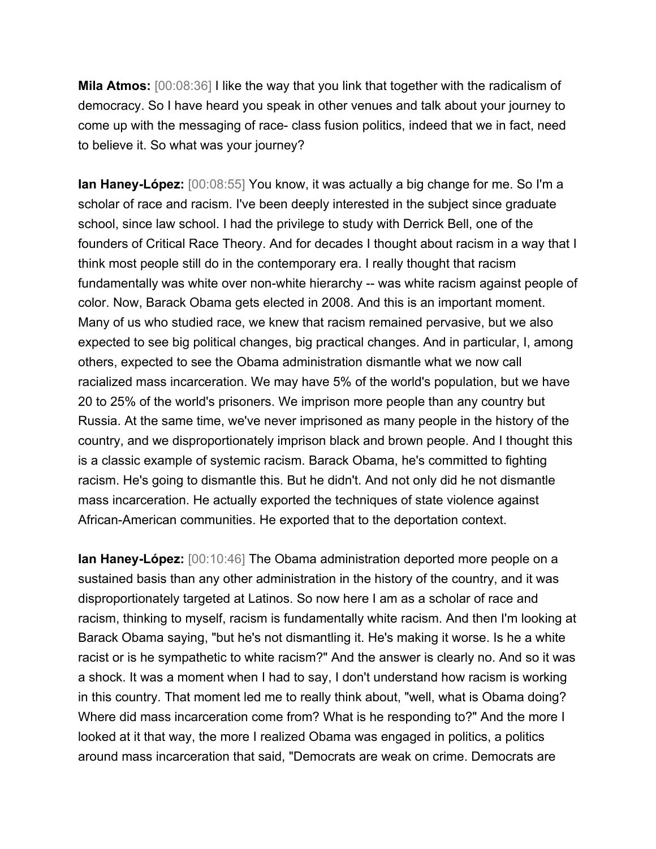**Mila Atmos:** [00:08:36] I like the way that you link that together with the radicalism of democracy. So I have heard you speak in other venues and talk about your journey to come up with the messaging of race- class fusion politics, indeed that we in fact, need to believe it. So what was your journey?

**Ian Haney-López:** [00:08:55] You know, it was actually a big change for me. So I'm a scholar of race and racism. I've been deeply interested in the subject since graduate school, since law school. I had the privilege to study with Derrick Bell, one of the founders of Critical Race Theory. And for decades I thought about racism in a way that I think most people still do in the contemporary era. I really thought that racism fundamentally was white over non-white hierarchy -- was white racism against people of color. Now, Barack Obama gets elected in 2008. And this is an important moment. Many of us who studied race, we knew that racism remained pervasive, but we also expected to see big political changes, big practical changes. And in particular, I, among others, expected to see the Obama administration dismantle what we now call racialized mass incarceration. We may have 5% of the world's population, but we have 20 to 25% of the world's prisoners. We imprison more people than any country but Russia. At the same time, we've never imprisoned as many people in the history of the country, and we disproportionately imprison black and brown people. And I thought this is a classic example of systemic racism. Barack Obama, he's committed to fighting racism. He's going to dismantle this. But he didn't. And not only did he not dismantle mass incarceration. He actually exported the techniques of state violence against African-American communities. He exported that to the deportation context.

**Ian Haney-López:** [00:10:46] The Obama administration deported more people on a sustained basis than any other administration in the history of the country, and it was disproportionately targeted at Latinos. So now here I am as a scholar of race and racism, thinking to myself, racism is fundamentally white racism. And then I'm looking at Barack Obama saying, "but he's not dismantling it. He's making it worse. Is he a white racist or is he sympathetic to white racism?" And the answer is clearly no. And so it was a shock. It was a moment when I had to say, I don't understand how racism is working in this country. That moment led me to really think about, "well, what is Obama doing? Where did mass incarceration come from? What is he responding to?" And the more I looked at it that way, the more I realized Obama was engaged in politics, a politics around mass incarceration that said, "Democrats are weak on crime. Democrats are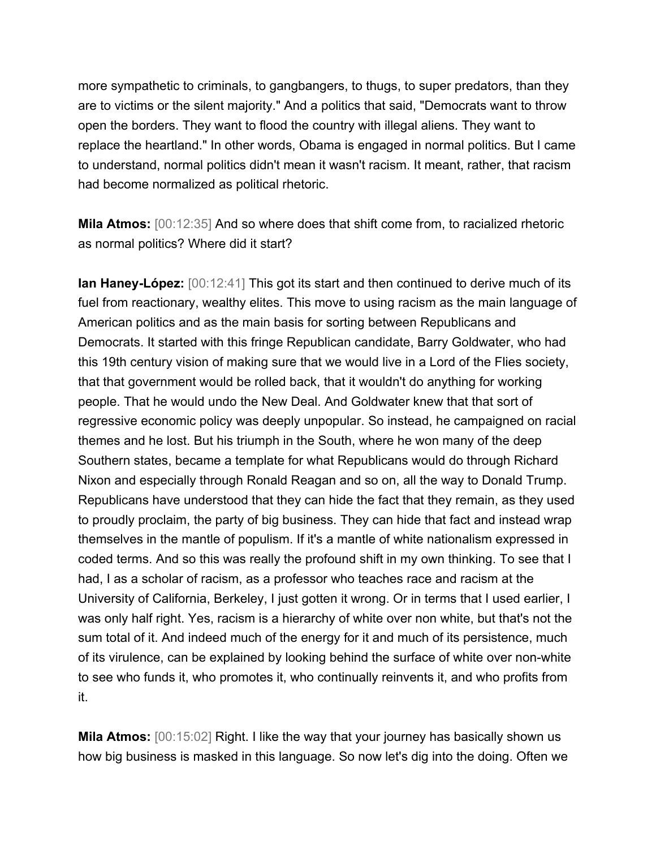more sympathetic to criminals, to gangbangers, to thugs, to super predators, than they are to victims or the silent majority." And a politics that said, "Democrats want to throw open the borders. They want to flood the country with illegal aliens. They want to replace the heartland." In other words, Obama is engaged in normal politics. But I came to understand, normal politics didn't mean it wasn't racism. It meant, rather, that racism had become normalized as political rhetoric.

**Mila Atmos:** [00:12:35] And so where does that shift come from, to racialized rhetoric as normal politics? Where did it start?

**Ian Haney-López:** [00:12:41] This got its start and then continued to derive much of its fuel from reactionary, wealthy elites. This move to using racism as the main language of American politics and as the main basis for sorting between Republicans and Democrats. It started with this fringe Republican candidate, Barry Goldwater, who had this 19th century vision of making sure that we would live in a Lord of the Flies society, that that government would be rolled back, that it wouldn't do anything for working people. That he would undo the New Deal. And Goldwater knew that that sort of regressive economic policy was deeply unpopular. So instead, he campaigned on racial themes and he lost. But his triumph in the South, where he won many of the deep Southern states, became a template for what Republicans would do through Richard Nixon and especially through Ronald Reagan and so on, all the way to Donald Trump. Republicans have understood that they can hide the fact that they remain, as they used to proudly proclaim, the party of big business. They can hide that fact and instead wrap themselves in the mantle of populism. If it's a mantle of white nationalism expressed in coded terms. And so this was really the profound shift in my own thinking. To see that I had, I as a scholar of racism, as a professor who teaches race and racism at the University of California, Berkeley, I just gotten it wrong. Or in terms that I used earlier, I was only half right. Yes, racism is a hierarchy of white over non white, but that's not the sum total of it. And indeed much of the energy for it and much of its persistence, much of its virulence, can be explained by looking behind the surface of white over non-white to see who funds it, who promotes it, who continually reinvents it, and who profits from it.

**Mila Atmos:** [00:15:02] Right. I like the way that your journey has basically shown us how big business is masked in this language. So now let's dig into the doing. Often we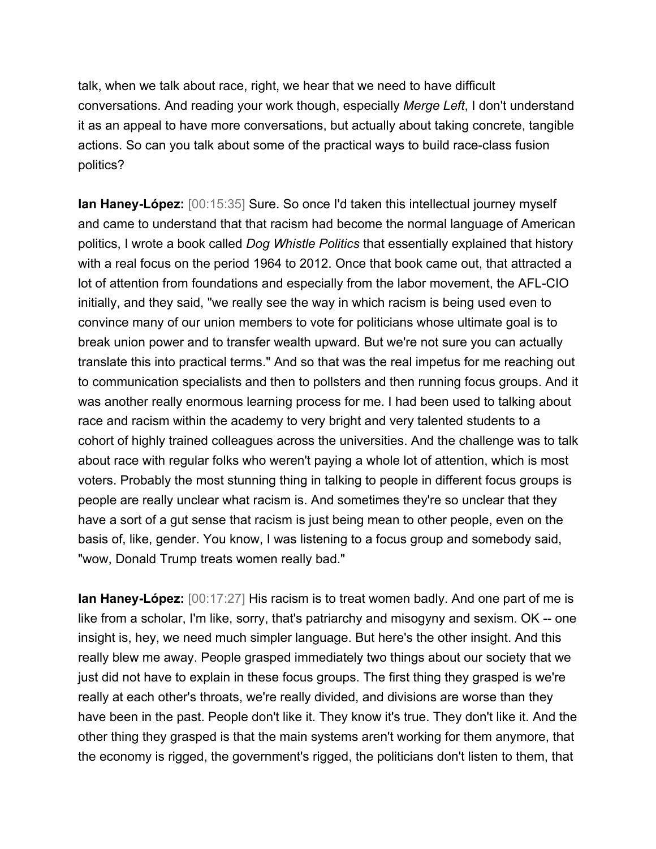talk, when we talk about race, right, we hear that we need to have difficult conversations. And reading your work though, especially *Merge Left*, I don't understand it as an appeal to have more conversations, but actually about taking concrete, tangible actions. So can you talk about some of the practical ways to build race-class fusion politics?

**Ian Haney-López:** [00:15:35] Sure. So once I'd taken this intellectual journey myself and came to understand that that racism had become the normal language of American politics, I wrote a book called *Dog Whistle Politics* that essentially explained that history with a real focus on the period 1964 to 2012. Once that book came out, that attracted a lot of attention from foundations and especially from the labor movement, the AFL-CIO initially, and they said, "we really see the way in which racism is being used even to convince many of our union members to vote for politicians whose ultimate goal is to break union power and to transfer wealth upward. But we're not sure you can actually translate this into practical terms." And so that was the real impetus for me reaching out to communication specialists and then to pollsters and then running focus groups. And it was another really enormous learning process for me. I had been used to talking about race and racism within the academy to very bright and very talented students to a cohort of highly trained colleagues across the universities. And the challenge was to talk about race with regular folks who weren't paying a whole lot of attention, which is most voters. Probably the most stunning thing in talking to people in different focus groups is people are really unclear what racism is. And sometimes they're so unclear that they have a sort of a gut sense that racism is just being mean to other people, even on the basis of, like, gender. You know, I was listening to a focus group and somebody said, "wow, Donald Trump treats women really bad."

**Ian Haney-López:** [00:17:27] His racism is to treat women badly. And one part of me is like from a scholar, I'm like, sorry, that's patriarchy and misogyny and sexism. OK -- one insight is, hey, we need much simpler language. But here's the other insight. And this really blew me away. People grasped immediately two things about our society that we just did not have to explain in these focus groups. The first thing they grasped is we're really at each other's throats, we're really divided, and divisions are worse than they have been in the past. People don't like it. They know it's true. They don't like it. And the other thing they grasped is that the main systems aren't working for them anymore, that the economy is rigged, the government's rigged, the politicians don't listen to them, that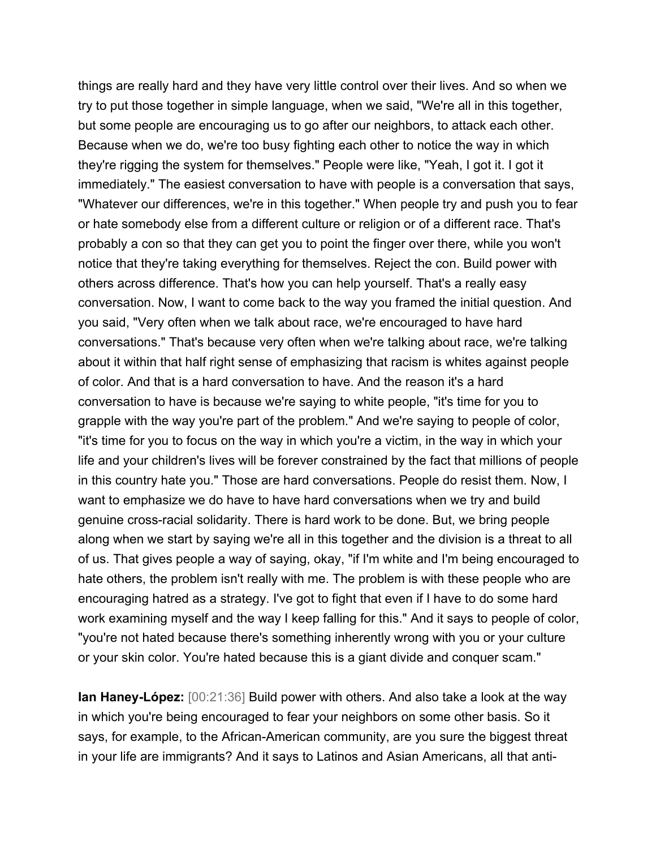things are really hard and they have very little control over their lives. And so when we try to put those together in simple language, when we said, "We're all in this together, but some people are encouraging us to go after our neighbors, to attack each other. Because when we do, we're too busy fighting each other to notice the way in which they're rigging the system for themselves." People were like, "Yeah, I got it. I got it immediately." The easiest conversation to have with people is a conversation that says, "Whatever our differences, we're in this together." When people try and push you to fear or hate somebody else from a different culture or religion or of a different race. That's probably a con so that they can get you to point the finger over there, while you won't notice that they're taking everything for themselves. Reject the con. Build power with others across difference. That's how you can help yourself. That's a really easy conversation. Now, I want to come back to the way you framed the initial question. And you said, "Very often when we talk about race, we're encouraged to have hard conversations." That's because very often when we're talking about race, we're talking about it within that half right sense of emphasizing that racism is whites against people of color. And that is a hard conversation to have. And the reason it's a hard conversation to have is because we're saying to white people, "it's time for you to grapple with the way you're part of the problem." And we're saying to people of color, "it's time for you to focus on the way in which you're a victim, in the way in which your life and your children's lives will be forever constrained by the fact that millions of people in this country hate you." Those are hard conversations. People do resist them. Now, I want to emphasize we do have to have hard conversations when we try and build genuine cross-racial solidarity. There is hard work to be done. But, we bring people along when we start by saying we're all in this together and the division is a threat to all of us. That gives people a way of saying, okay, "if I'm white and I'm being encouraged to hate others, the problem isn't really with me. The problem is with these people who are encouraging hatred as a strategy. I've got to fight that even if I have to do some hard work examining myself and the way I keep falling for this." And it says to people of color, "you're not hated because there's something inherently wrong with you or your culture or your skin color. You're hated because this is a giant divide and conquer scam."

**Ian Haney-López:** [00:21:36] Build power with others. And also take a look at the way in which you're being encouraged to fear your neighbors on some other basis. So it says, for example, to the African-American community, are you sure the biggest threat in your life are immigrants? And it says to Latinos and Asian Americans, all that anti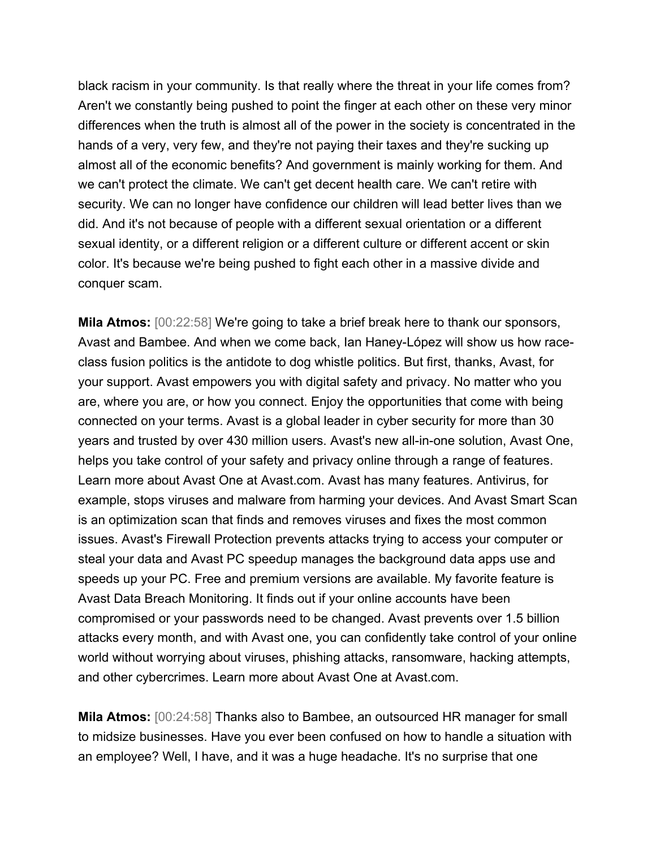black racism in your community. Is that really where the threat in your life comes from? Aren't we constantly being pushed to point the finger at each other on these very minor differences when the truth is almost all of the power in the society is concentrated in the hands of a very, very few, and they're not paying their taxes and they're sucking up almost all of the economic benefits? And government is mainly working for them. And we can't protect the climate. We can't get decent health care. We can't retire with security. We can no longer have confidence our children will lead better lives than we did. And it's not because of people with a different sexual orientation or a different sexual identity, or a different religion or a different culture or different accent or skin color. It's because we're being pushed to fight each other in a massive divide and conquer scam.

**Mila Atmos:** [00:22:58] We're going to take a brief break here to thank our sponsors, Avast and Bambee. And when we come back, Ian Haney-López will show us how raceclass fusion politics is the antidote to dog whistle politics. But first, thanks, Avast, for your support. Avast empowers you with digital safety and privacy. No matter who you are, where you are, or how you connect. Enjoy the opportunities that come with being connected on your terms. Avast is a global leader in cyber security for more than 30 years and trusted by over 430 million users. Avast's new all-in-one solution, Avast One, helps you take control of your safety and privacy online through a range of features. Learn more about Avast One at Avast.com. Avast has many features. Antivirus, for example, stops viruses and malware from harming your devices. And Avast Smart Scan is an optimization scan that finds and removes viruses and fixes the most common issues. Avast's Firewall Protection prevents attacks trying to access your computer or steal your data and Avast PC speedup manages the background data apps use and speeds up your PC. Free and premium versions are available. My favorite feature is Avast Data Breach Monitoring. It finds out if your online accounts have been compromised or your passwords need to be changed. Avast prevents over 1.5 billion attacks every month, and with Avast one, you can confidently take control of your online world without worrying about viruses, phishing attacks, ransomware, hacking attempts, and other cybercrimes. Learn more about Avast One at Avast.com.

**Mila Atmos:** [00:24:58] Thanks also to Bambee, an outsourced HR manager for small to midsize businesses. Have you ever been confused on how to handle a situation with an employee? Well, I have, and it was a huge headache. It's no surprise that one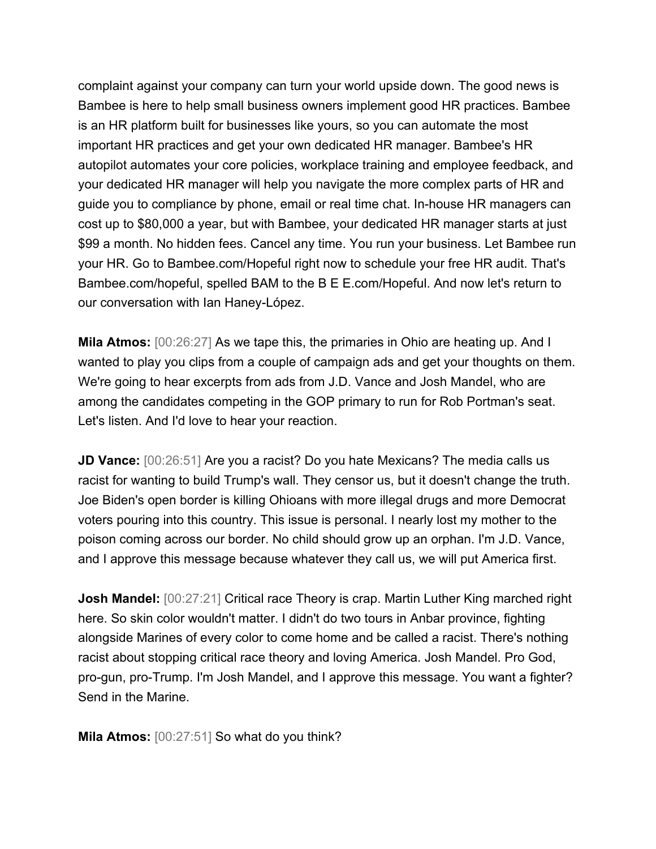complaint against your company can turn your world upside down. The good news is Bambee is here to help small business owners implement good HR practices. Bambee is an HR platform built for businesses like yours, so you can automate the most important HR practices and get your own dedicated HR manager. Bambee's HR autopilot automates your core policies, workplace training and employee feedback, and your dedicated HR manager will help you navigate the more complex parts of HR and guide you to compliance by phone, email or real time chat. In-house HR managers can cost up to \$80,000 a year, but with Bambee, your dedicated HR manager starts at just \$99 a month. No hidden fees. Cancel any time. You run your business. Let Bambee run your HR. Go to Bambee.com/Hopeful right now to schedule your free HR audit. That's Bambee.com/hopeful, spelled BAM to the B E E.com/Hopeful. And now let's return to our conversation with Ian Haney-López.

**Mila Atmos:** [00:26:27] As we tape this, the primaries in Ohio are heating up. And I wanted to play you clips from a couple of campaign ads and get your thoughts on them. We're going to hear excerpts from ads from J.D. Vance and Josh Mandel, who are among the candidates competing in the GOP primary to run for Rob Portman's seat. Let's listen. And I'd love to hear your reaction.

**JD Vance:** [00:26:51] Are you a racist? Do you hate Mexicans? The media calls us racist for wanting to build Trump's wall. They censor us, but it doesn't change the truth. Joe Biden's open border is killing Ohioans with more illegal drugs and more Democrat voters pouring into this country. This issue is personal. I nearly lost my mother to the poison coming across our border. No child should grow up an orphan. I'm J.D. Vance, and I approve this message because whatever they call us, we will put America first.

**Josh Mandel:** [00:27:21] Critical race Theory is crap. Martin Luther King marched right here. So skin color wouldn't matter. I didn't do two tours in Anbar province, fighting alongside Marines of every color to come home and be called a racist. There's nothing racist about stopping critical race theory and loving America. Josh Mandel. Pro God, pro-gun, pro-Trump. I'm Josh Mandel, and I approve this message. You want a fighter? Send in the Marine.

**Mila Atmos:** [00:27:51] So what do you think?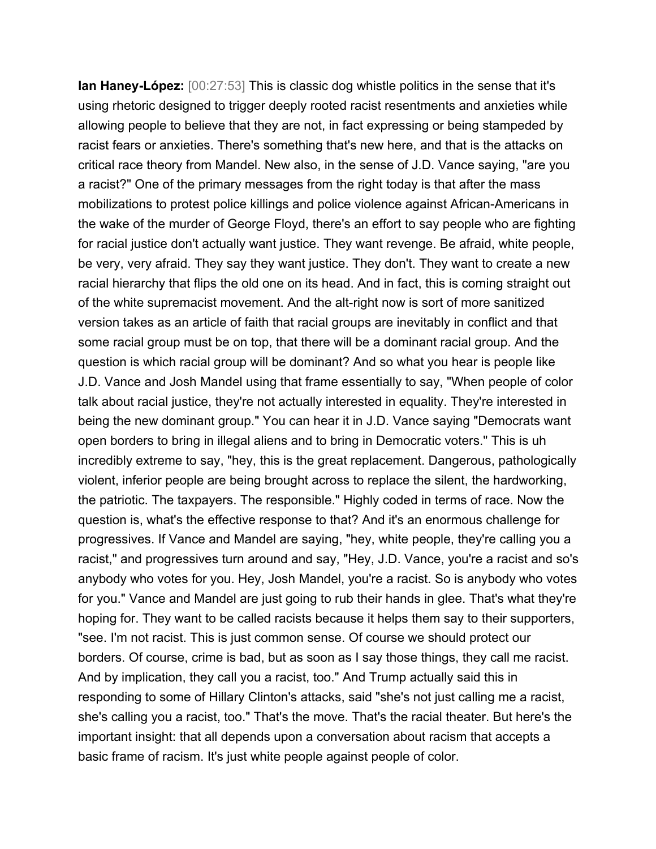**Ian Haney-López:** [00:27:53] This is classic dog whistle politics in the sense that it's using rhetoric designed to trigger deeply rooted racist resentments and anxieties while allowing people to believe that they are not, in fact expressing or being stampeded by racist fears or anxieties. There's something that's new here, and that is the attacks on critical race theory from Mandel. New also, in the sense of J.D. Vance saying, "are you a racist?" One of the primary messages from the right today is that after the mass mobilizations to protest police killings and police violence against African-Americans in the wake of the murder of George Floyd, there's an effort to say people who are fighting for racial justice don't actually want justice. They want revenge. Be afraid, white people, be very, very afraid. They say they want justice. They don't. They want to create a new racial hierarchy that flips the old one on its head. And in fact, this is coming straight out of the white supremacist movement. And the alt-right now is sort of more sanitized version takes as an article of faith that racial groups are inevitably in conflict and that some racial group must be on top, that there will be a dominant racial group. And the question is which racial group will be dominant? And so what you hear is people like J.D. Vance and Josh Mandel using that frame essentially to say, "When people of color talk about racial justice, they're not actually interested in equality. They're interested in being the new dominant group." You can hear it in J.D. Vance saying "Democrats want open borders to bring in illegal aliens and to bring in Democratic voters." This is uh incredibly extreme to say, "hey, this is the great replacement. Dangerous, pathologically violent, inferior people are being brought across to replace the silent, the hardworking, the patriotic. The taxpayers. The responsible." Highly coded in terms of race. Now the question is, what's the effective response to that? And it's an enormous challenge for progressives. If Vance and Mandel are saying, "hey, white people, they're calling you a racist," and progressives turn around and say, "Hey, J.D. Vance, you're a racist and so's anybody who votes for you. Hey, Josh Mandel, you're a racist. So is anybody who votes for you." Vance and Mandel are just going to rub their hands in glee. That's what they're hoping for. They want to be called racists because it helps them say to their supporters, "see. I'm not racist. This is just common sense. Of course we should protect our borders. Of course, crime is bad, but as soon as I say those things, they call me racist. And by implication, they call you a racist, too." And Trump actually said this in responding to some of Hillary Clinton's attacks, said "she's not just calling me a racist, she's calling you a racist, too." That's the move. That's the racial theater. But here's the important insight: that all depends upon a conversation about racism that accepts a basic frame of racism. It's just white people against people of color.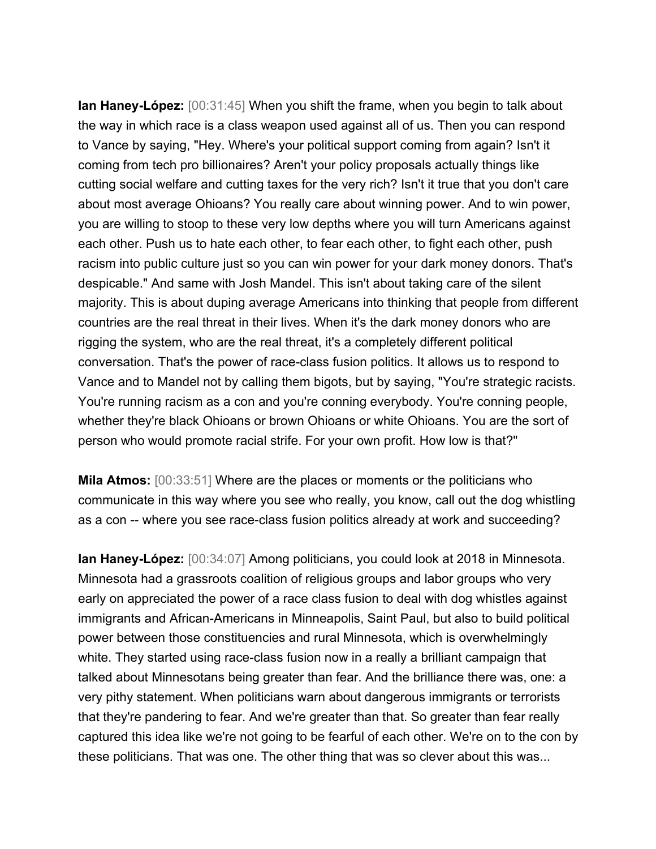**Ian Haney-López:** [00:31:45] When you shift the frame, when you begin to talk about the way in which race is a class weapon used against all of us. Then you can respond to Vance by saying, "Hey. Where's your political support coming from again? Isn't it coming from tech pro billionaires? Aren't your policy proposals actually things like cutting social welfare and cutting taxes for the very rich? Isn't it true that you don't care about most average Ohioans? You really care about winning power. And to win power, you are willing to stoop to these very low depths where you will turn Americans against each other. Push us to hate each other, to fear each other, to fight each other, push racism into public culture just so you can win power for your dark money donors. That's despicable." And same with Josh Mandel. This isn't about taking care of the silent majority. This is about duping average Americans into thinking that people from different countries are the real threat in their lives. When it's the dark money donors who are rigging the system, who are the real threat, it's a completely different political conversation. That's the power of race-class fusion politics. It allows us to respond to Vance and to Mandel not by calling them bigots, but by saying, "You're strategic racists. You're running racism as a con and you're conning everybody. You're conning people, whether they're black Ohioans or brown Ohioans or white Ohioans. You are the sort of person who would promote racial strife. For your own profit. How low is that?"

**Mila Atmos:** [00:33:51] Where are the places or moments or the politicians who communicate in this way where you see who really, you know, call out the dog whistling as a con -- where you see race-class fusion politics already at work and succeeding?

**Ian Haney-López:** [00:34:07] Among politicians, you could look at 2018 in Minnesota. Minnesota had a grassroots coalition of religious groups and labor groups who very early on appreciated the power of a race class fusion to deal with dog whistles against immigrants and African-Americans in Minneapolis, Saint Paul, but also to build political power between those constituencies and rural Minnesota, which is overwhelmingly white. They started using race-class fusion now in a really a brilliant campaign that talked about Minnesotans being greater than fear. And the brilliance there was, one: a very pithy statement. When politicians warn about dangerous immigrants or terrorists that they're pandering to fear. And we're greater than that. So greater than fear really captured this idea like we're not going to be fearful of each other. We're on to the con by these politicians. That was one. The other thing that was so clever about this was...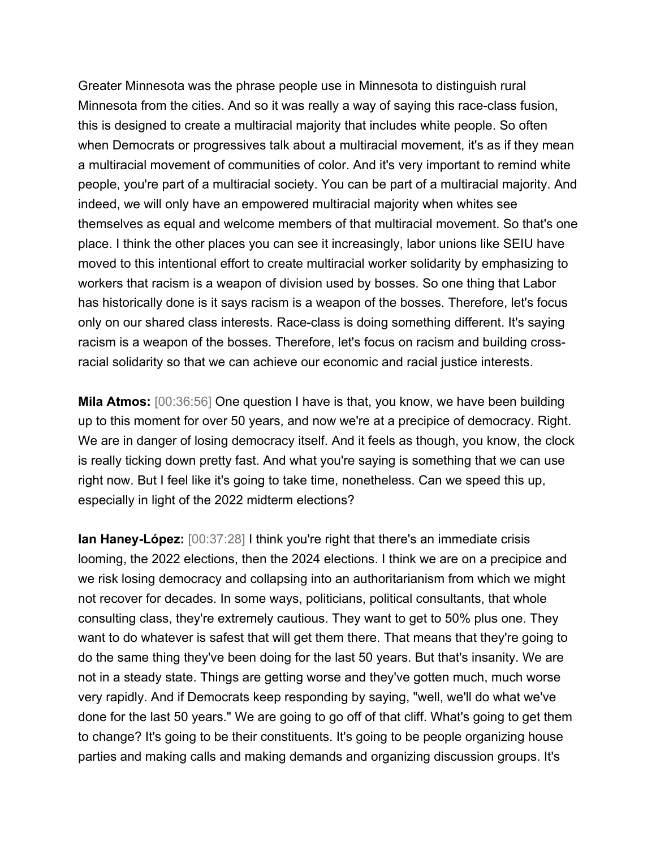Greater Minnesota was the phrase people use in Minnesota to distinguish rural Minnesota from the cities. And so it was really a way of saying this race-class fusion, this is designed to create a multiracial majority that includes white people. So often when Democrats or progressives talk about a multiracial movement, it's as if they mean a multiracial movement of communities of color. And it's very important to remind white people, you're part of a multiracial society. You can be part of a multiracial majority. And indeed, we will only have an empowered multiracial majority when whites see themselves as equal and welcome members of that multiracial movement. So that's one place. I think the other places you can see it increasingly, labor unions like SEIU have moved to this intentional effort to create multiracial worker solidarity by emphasizing to workers that racism is a weapon of division used by bosses. So one thing that Labor has historically done is it says racism is a weapon of the bosses. Therefore, let's focus only on our shared class interests. Race-class is doing something different. It's saying racism is a weapon of the bosses. Therefore, let's focus on racism and building crossracial solidarity so that we can achieve our economic and racial justice interests.

**Mila Atmos:** [00:36:56] One question I have is that, you know, we have been building up to this moment for over 50 years, and now we're at a precipice of democracy. Right. We are in danger of losing democracy itself. And it feels as though, you know, the clock is really ticking down pretty fast. And what you're saying is something that we can use right now. But I feel like it's going to take time, nonetheless. Can we speed this up, especially in light of the 2022 midterm elections?

**Ian Haney-López:** [00:37:28] I think you're right that there's an immediate crisis looming, the 2022 elections, then the 2024 elections. I think we are on a precipice and we risk losing democracy and collapsing into an authoritarianism from which we might not recover for decades. In some ways, politicians, political consultants, that whole consulting class, they're extremely cautious. They want to get to 50% plus one. They want to do whatever is safest that will get them there. That means that they're going to do the same thing they've been doing for the last 50 years. But that's insanity. We are not in a steady state. Things are getting worse and they've gotten much, much worse very rapidly. And if Democrats keep responding by saying, "well, we'll do what we've done for the last 50 years." We are going to go off of that cliff. What's going to get them to change? It's going to be their constituents. It's going to be people organizing house parties and making calls and making demands and organizing discussion groups. It's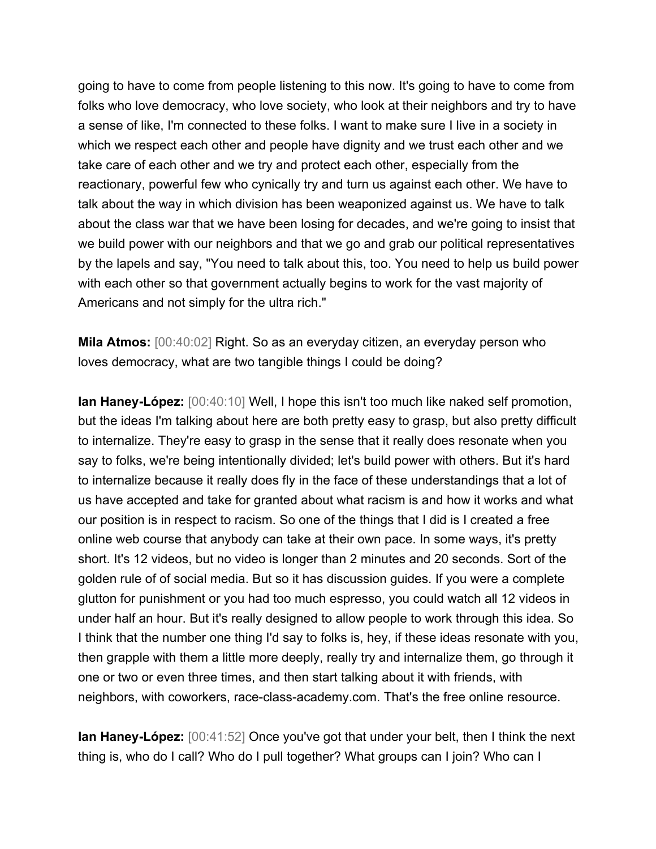going to have to come from people listening to this now. It's going to have to come from folks who love democracy, who love society, who look at their neighbors and try to have a sense of like, I'm connected to these folks. I want to make sure I live in a society in which we respect each other and people have dignity and we trust each other and we take care of each other and we try and protect each other, especially from the reactionary, powerful few who cynically try and turn us against each other. We have to talk about the way in which division has been weaponized against us. We have to talk about the class war that we have been losing for decades, and we're going to insist that we build power with our neighbors and that we go and grab our political representatives by the lapels and say, "You need to talk about this, too. You need to help us build power with each other so that government actually begins to work for the vast majority of Americans and not simply for the ultra rich."

**Mila Atmos:** [00:40:02] Right. So as an everyday citizen, an everyday person who loves democracy, what are two tangible things I could be doing?

**Ian Haney-López:** [00:40:10] Well, I hope this isn't too much like naked self promotion, but the ideas I'm talking about here are both pretty easy to grasp, but also pretty difficult to internalize. They're easy to grasp in the sense that it really does resonate when you say to folks, we're being intentionally divided; let's build power with others. But it's hard to internalize because it really does fly in the face of these understandings that a lot of us have accepted and take for granted about what racism is and how it works and what our position is in respect to racism. So one of the things that I did is I created a free online web course that anybody can take at their own pace. In some ways, it's pretty short. It's 12 videos, but no video is longer than 2 minutes and 20 seconds. Sort of the golden rule of of social media. But so it has discussion guides. If you were a complete glutton for punishment or you had too much espresso, you could watch all 12 videos in under half an hour. But it's really designed to allow people to work through this idea. So I think that the number one thing I'd say to folks is, hey, if these ideas resonate with you, then grapple with them a little more deeply, really try and internalize them, go through it one or two or even three times, and then start talking about it with friends, with neighbors, with coworkers, race-class-academy.com. That's the free online resource.

**Ian Haney-López:** [00:41:52] Once you've got that under your belt, then I think the next thing is, who do I call? Who do I pull together? What groups can I join? Who can I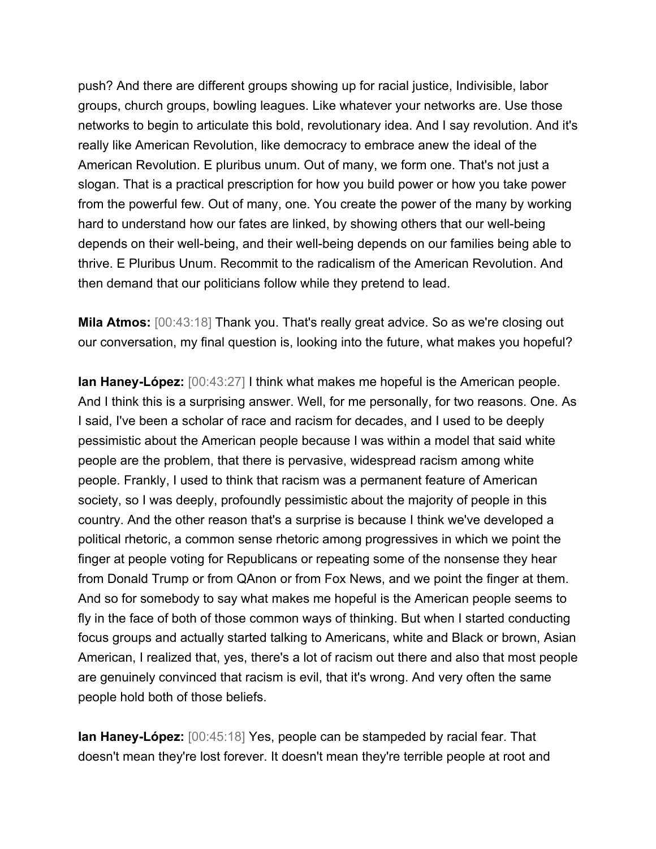push? And there are different groups showing up for racial justice, Indivisible, labor groups, church groups, bowling leagues. Like whatever your networks are. Use those networks to begin to articulate this bold, revolutionary idea. And I say revolution. And it's really like American Revolution, like democracy to embrace anew the ideal of the American Revolution. E pluribus unum. Out of many, we form one. That's not just a slogan. That is a practical prescription for how you build power or how you take power from the powerful few. Out of many, one. You create the power of the many by working hard to understand how our fates are linked, by showing others that our well-being depends on their well-being, and their well-being depends on our families being able to thrive. E Pluribus Unum. Recommit to the radicalism of the American Revolution. And then demand that our politicians follow while they pretend to lead.

**Mila Atmos:** [00:43:18] Thank you. That's really great advice. So as we're closing out our conversation, my final question is, looking into the future, what makes you hopeful?

**Ian Haney-López:** [00:43:27] I think what makes me hopeful is the American people. And I think this is a surprising answer. Well, for me personally, for two reasons. One. As I said, I've been a scholar of race and racism for decades, and I used to be deeply pessimistic about the American people because I was within a model that said white people are the problem, that there is pervasive, widespread racism among white people. Frankly, I used to think that racism was a permanent feature of American society, so I was deeply, profoundly pessimistic about the majority of people in this country. And the other reason that's a surprise is because I think we've developed a political rhetoric, a common sense rhetoric among progressives in which we point the finger at people voting for Republicans or repeating some of the nonsense they hear from Donald Trump or from QAnon or from Fox News, and we point the finger at them. And so for somebody to say what makes me hopeful is the American people seems to fly in the face of both of those common ways of thinking. But when I started conducting focus groups and actually started talking to Americans, white and Black or brown, Asian American, I realized that, yes, there's a lot of racism out there and also that most people are genuinely convinced that racism is evil, that it's wrong. And very often the same people hold both of those beliefs.

**Ian Haney-López:** [00:45:18] Yes, people can be stampeded by racial fear. That doesn't mean they're lost forever. It doesn't mean they're terrible people at root and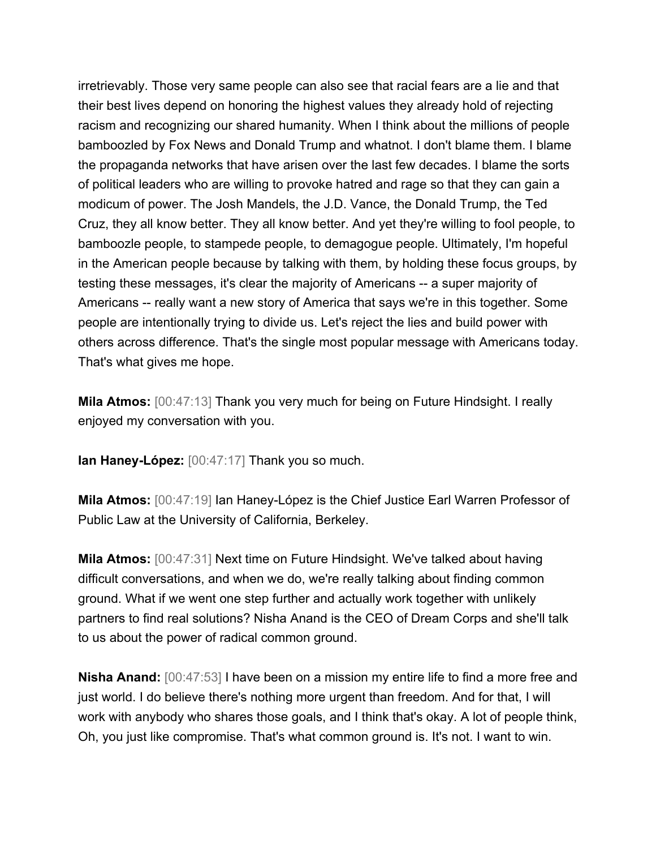irretrievably. Those very same people can also see that racial fears are a lie and that their best lives depend on honoring the highest values they already hold of rejecting racism and recognizing our shared humanity. When I think about the millions of people bamboozled by Fox News and Donald Trump and whatnot. I don't blame them. I blame the propaganda networks that have arisen over the last few decades. I blame the sorts of political leaders who are willing to provoke hatred and rage so that they can gain a modicum of power. The Josh Mandels, the J.D. Vance, the Donald Trump, the Ted Cruz, they all know better. They all know better. And yet they're willing to fool people, to bamboozle people, to stampede people, to demagogue people. Ultimately, I'm hopeful in the American people because by talking with them, by holding these focus groups, by testing these messages, it's clear the majority of Americans -- a super majority of Americans -- really want a new story of America that says we're in this together. Some people are intentionally trying to divide us. Let's reject the lies and build power with others across difference. That's the single most popular message with Americans today. That's what gives me hope.

**Mila Atmos:** [00:47:13] Thank you very much for being on Future Hindsight. I really enjoyed my conversation with you.

**Ian Haney-López:** [00:47:17] Thank you so much.

**Mila Atmos:** [00:47:19] Ian Haney-López is the Chief Justice Earl Warren Professor of Public Law at the University of California, Berkeley.

**Mila Atmos:** [00:47:31] Next time on Future Hindsight. We've talked about having difficult conversations, and when we do, we're really talking about finding common ground. What if we went one step further and actually work together with unlikely partners to find real solutions? Nisha Anand is the CEO of Dream Corps and she'll talk to us about the power of radical common ground.

**Nisha Anand:** [00:47:53] I have been on a mission my entire life to find a more free and just world. I do believe there's nothing more urgent than freedom. And for that, I will work with anybody who shares those goals, and I think that's okay. A lot of people think, Oh, you just like compromise. That's what common ground is. It's not. I want to win.